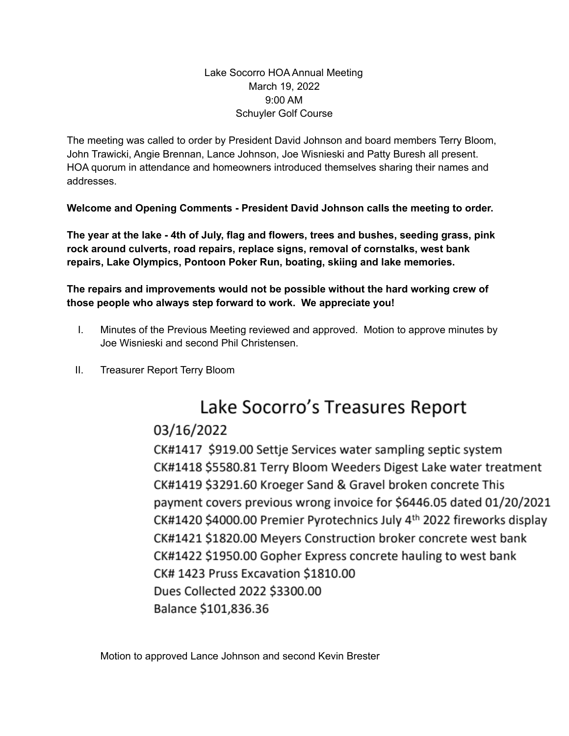### Lake Socorro HOA Annual Meeting March 19, 2022 9:00 AM Schuyler Golf Course

The meeting was called to order by President David Johnson and board members Terry Bloom, John Trawicki, Angie Brennan, Lance Johnson, Joe Wisnieski and Patty Buresh all present. HOA quorum in attendance and homeowners introduced themselves sharing their names and addresses.

**Welcome and Opening Comments - President David Johnson calls the meeting to order.**

**The year at the lake - 4th of July, flag and flowers, trees and bushes, seeding grass, pink rock around culverts, road repairs, replace signs, removal of cornstalks, west bank repairs, Lake Olympics, Pontoon Poker Run, boating, skiing and lake memories.**

**The repairs and improvements would not be possible without the hard working crew of those people who always step forward to work. We appreciate you!**

- I. Minutes of the Previous Meeting reviewed and approved. Motion to approve minutes by Joe Wisnieski and second Phil Christensen.
- II. Treasurer Report Terry Bloom

# Lake Socorro's Treasures Report

## 03/16/2022

CK#1417 \$919.00 Settje Services water sampling septic system CK#1418 \$5580.81 Terry Bloom Weeders Digest Lake water treatment CK#1419 \$3291.60 Kroeger Sand & Gravel broken concrete This payment covers previous wrong invoice for \$6446.05 dated 01/20/2021 CK#1420 \$4000.00 Premier Pyrotechnics July 4<sup>th</sup> 2022 fireworks display CK#1421 \$1820.00 Meyers Construction broker concrete west bank CK#1422 \$1950.00 Gopher Express concrete hauling to west bank CK# 1423 Pruss Excavation \$1810.00 Dues Collected 2022 \$3300.00 Balance \$101,836.36

Motion to approved Lance Johnson and second Kevin Brester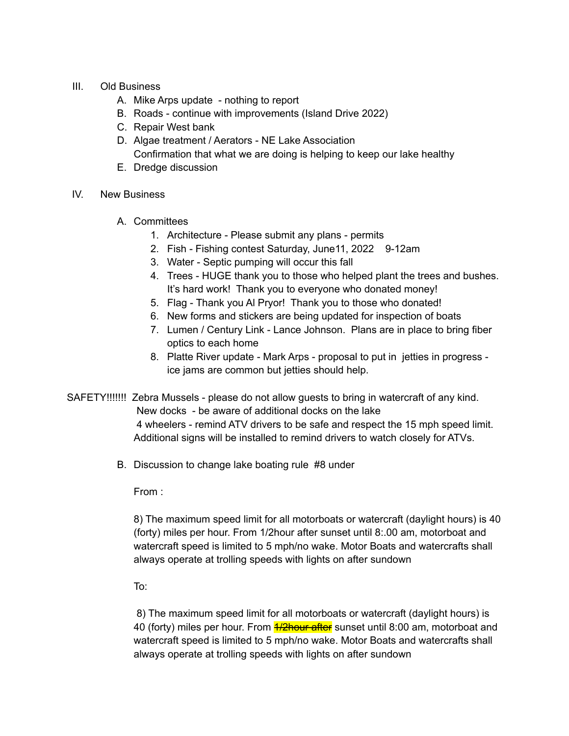- III. Old Business
	- A. Mike Arps update nothing to report
	- B. Roads continue with improvements (Island Drive 2022)
	- C. Repair West bank
	- D. Algae treatment / Aerators NE Lake Association Confirmation that what we are doing is helping to keep our lake healthy
	- E. Dredge discussion
- IV. New Business
	- A. Committees
		- 1. Architecture Please submit any plans permits
		- 2. Fish Fishing contest Saturday, June 11, 2022 9-12am
		- 3. Water Septic pumping will occur this fall
		- 4. Trees HUGE thank you to those who helped plant the trees and bushes. It's hard work! Thank you to everyone who donated money!
		- 5. Flag Thank you Al Pryor! Thank you to those who donated!
		- 6. New forms and stickers are being updated for inspection of boats
		- 7. Lumen / Century Link Lance Johnson. Plans are in place to bring fiber optics to each home
		- 8. Platte River update Mark Arps proposal to put in jetties in progress ice jams are common but jetties should help.

SAFETY!!!!!!! Zebra Mussels - please do not allow guests to bring in watercraft of any kind.

New docks - be aware of additional docks on the lake

4 wheelers - remind ATV drivers to be safe and respect the 15 mph speed limit. Additional signs will be installed to remind drivers to watch closely for ATVs.

B. Discussion to change lake boating rule #8 under

From :

8) The maximum speed limit for all motorboats or watercraft (daylight hours) is 40 (forty) miles per hour. From 1/2hour after sunset until 8:.00 am, motorboat and watercraft speed is limited to 5 mph/no wake. Motor Boats and watercrafts shall always operate at trolling speeds with lights on after sundown

To:

8) The maximum speed limit for all motorboats or watercraft (daylight hours) is 40 (forty) miles per hour. From *1/2hour after* sunset until 8:00 am, motorboat and watercraft speed is limited to 5 mph/no wake. Motor Boats and watercrafts shall always operate at trolling speeds with lights on after sundown